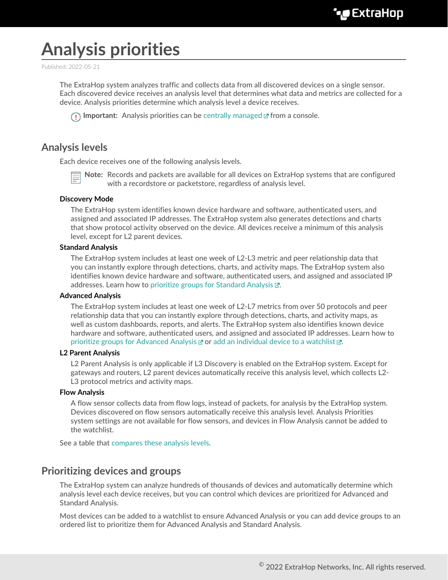# **Analysis priorities**

Published: 2022-05-21

The ExtraHop system analyzes traffic and collects data from all discovered devices on a single sensor. Each discovered device receives an analysis level that determines what data and metrics are collected for a device. Analysis priorities determine which analysis level a device receives.



## **Analysis levels**

Each device receives one of the following analysis levels.



**Note:** Records and packets are available for all devices on ExtraHop systems that are configured with a recordstore or packetstore, regardless of analysis level.

#### **Discovery Mode**

The ExtraHop system identifies known device hardware and software, authenticated users, and assigned and associated IP addresses. The ExtraHop system also generates detections and charts that show protocol activity observed on the device. All devices receive a minimum of this analysis level, except for L2 parent devices.

#### **Standard Analysis**

The ExtraHop system includes at least one week of L2-L3 metric and peer relationship data that you can instantly explore through detections, charts, and activity maps. The ExtraHop system also identifies known device hardware and software, authenticated users, and assigned and associated IP addresses. Learn how to [prioritize groups for Standard Analysis](https://docs.extrahop.com/8.9/analysis-priorities-standard) ...

#### **Advanced Analysis**

The ExtraHop system includes at least one week of L2-L7 metrics from over 50 protocols and peer relationship data that you can instantly explore through detections, charts, and activity maps, as well as custom dashboards, reports, and alerts. The ExtraHop system also identifies known device hardware and software, authenticated users, and assigned and associated IP addresses. Learn how to [prioritize groups for Advanced Analysis](https://docs.extrahop.com/8.9/analysis-priorities-advanced)  $\mathbb Z$  or add an individual device to a watchlist  $\mathbb Z$ .

#### **L2 Parent Analysis**

L2 Parent Analysis is only applicable if L3 Discovery is enabled on the ExtraHop system. Except for gateways and routers, L2 parent devices automatically receive this analysis level, which collects L2- L3 protocol metrics and activity maps.

#### **Flow Analysis**

A flow sensor collects data from flow logs, instead of packets, for analysis by the ExtraHop system. Devices discovered on flow sensors automatically receive this analysis level. Analysis Priorities system settings are not available for flow sensors, and devices in Flow Analysis cannot be added to the watchlist.

See a table that [compares these analysis levels.](#page-1-0)

## **Prioritizing devices and groups**

The ExtraHop system can analyze hundreds of thousands of devices and automatically determine which analysis level each device receives, but you can control which devices are prioritized for Advanced and Standard Analysis.

Most devices can be added to a watchlist to ensure Advanced Analysis or you can add device groups to an ordered list to prioritize them for Advanced Analysis and Standard Analysis.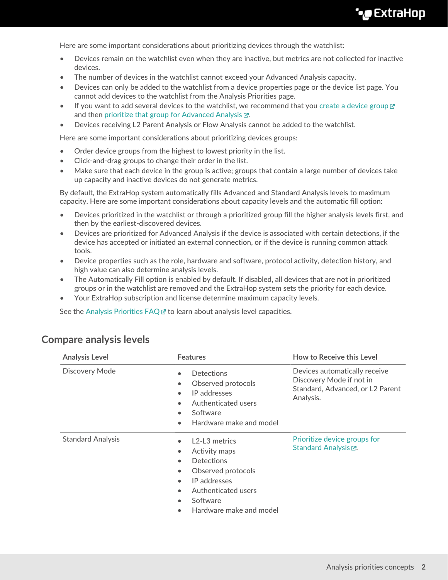Here are some important considerations about prioritizing devices through the watchlist:

- Devices remain on the watchlist even when they are inactive, but metrics are not collected for inactive devices.
- The number of devices in the watchlist cannot exceed your Advanced Analysis capacity.
- Devices can only be added to the watchlist from a device properties page or the device list page. You cannot add devices to the watchlist from the Analysis Priorities page.
- If you want to add several devices to the watchlist, we recommend that you [create a device group](https://docs.extrahop.com/8.9/create-device-group)  $\mathbb{Z}$ and then prioritize that group for Advanced Analysis  $\mathbb{Z}$ .
- Devices receiving L2 Parent Analysis or Flow Analysis cannot be added to the watchlist.

Here are some important considerations about prioritizing devices groups:

- Order device groups from the highest to lowest priority in the list.
- Click-and-drag groups to change their order in the list.
- Make sure that each device in the group is active; groups that contain a large number of devices take up capacity and inactive devices do not generate metrics.

By default, the ExtraHop system automatically fills Advanced and Standard Analysis levels to maximum capacity. Here are some important considerations about capacity levels and the automatic fill option:

- Devices prioritized in the watchlist or through a prioritized group fill the higher analysis levels first, and then by the earliest-discovered devices.
- Devices are prioritized for Advanced Analysis if the device is associated with certain detections, if the device has accepted or initiated an external connection, or if the device is running common attack tools.
- Device properties such as the role, hardware and software, protocol activity, detection history, and high value can also determine analysis levels.
- The Automatically Fill option is enabled by default. If disabled, all devices that are not in prioritized groups or in the watchlist are removed and the ExtraHop system sets the priority for each device.
- Your ExtraHop subscription and license determine maximum capacity levels.

See the Analysis Priorities  $FAQ \nightharpoonup$  to learn about analysis level capacities.

| <b>Analysis Level</b>    | <b>Features</b>                                                                                                                                                                                                                                                                          | <b>How to Receive this Level</b>                                                                           |
|--------------------------|------------------------------------------------------------------------------------------------------------------------------------------------------------------------------------------------------------------------------------------------------------------------------------------|------------------------------------------------------------------------------------------------------------|
| <b>Discovery Mode</b>    | <b>Detections</b><br>$\bullet$<br>Observed protocols<br>$\bullet$<br>IP addresses<br>$\bullet$<br>Authenticated users<br>$\bullet$<br>Software<br>$\bullet$<br>Hardware make and model<br>$\bullet$                                                                                      | Devices automatically receive<br>Discovery Mode if not in<br>Standard, Advanced, or L2 Parent<br>Analysis. |
| <b>Standard Analysis</b> | L <sub>2</sub> -L <sub>3</sub> metrics<br>$\bullet$<br>Activity maps<br>$\bullet$<br><b>Detections</b><br>$\bullet$<br>Observed protocols<br>$\bullet$<br>IP addresses<br>$\bullet$<br>Authenticated users<br>$\bullet$<br>Software<br>$\bullet$<br>Hardware make and model<br>$\bullet$ | Prioritize device groups for<br>Standard Analysis E.                                                       |

### <span id="page-1-0"></span>**Compare analysis levels**